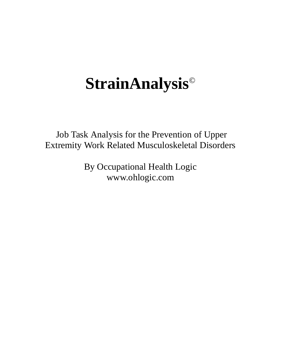## **StrainAnalysis**©

 Job Task Analysis for the Prevention of Upper Extremity Work Related Musculoskeletal Disorders

> By Occupational Health Logic www.ohlogic.com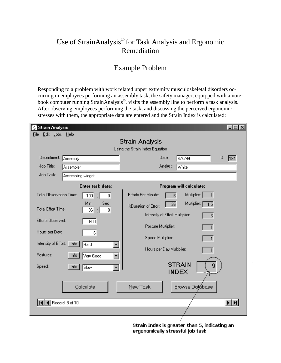## Use of StrainAnalysis<sup>©</sup> for Task Analysis and Ergonomic Remediation

## Example Problem

Responding to a problem with work related upper extremity musculoskeletal disorders occurring in employees performing an assembly task, the safety manager, equipped with a notebook computer running StrainAnalysis©, visits the assembly line to perform a task analysis. After observing employees performing the task, and discussing the perceived ergonomic stresses with them, the appropriate data are entered and the Strain Index is calculated:

| $\Box$ ol $\times$<br><b>Strain Analysis</b><br>Ŕ.        |                                                |                                                               |  |  |  |
|-----------------------------------------------------------|------------------------------------------------|---------------------------------------------------------------|--|--|--|
| Edit<br>$_{\text{Jobs}}$<br>File                          | - <u>H</u> elp                                 |                                                               |  |  |  |
| <b>Strain Analysis</b><br>Using the Strain Index Equation |                                                |                                                               |  |  |  |
|                                                           |                                                |                                                               |  |  |  |
| Department: Assembly                                      |                                                | ID: 184<br>Date:<br>4/4/99                                    |  |  |  |
| Job Title:                                                | Assembler                                      | Analyst:<br>White                                             |  |  |  |
| Job Task:                                                 | Assembling widget                              |                                                               |  |  |  |
|                                                           | Enter task data:                               | Program will calculate:                                       |  |  |  |
| <b>Total Observation Time:</b>                            | 100<br>0                                       | Efforts Per Minute:<br>Multiplier: [<br>1<br>6                |  |  |  |
| <b>Total Effort Time:</b>                                 | Min<br><b>Sec</b><br>36<br>$\overline{0}$<br>Н | Multiplier:<br>$\overline{36}$<br>1.5<br>%Duration of Effort: |  |  |  |
| <b>Efforts Observed:</b>                                  |                                                | Intensity of Effort Multiplier:<br>6                          |  |  |  |
|                                                           | 600                                            | Posture Multiplier:<br>1                                      |  |  |  |
| Hours per Day:                                            | 6                                              |                                                               |  |  |  |
|                                                           |                                                | Speed Multiplier:<br>1                                        |  |  |  |
| Intensity of Effort: Info                                 | Hard                                           | Hours per Day Multiplier:<br>1                                |  |  |  |
| Postures:                                                 | Very Good<br> nfo <br>۰                        |                                                               |  |  |  |
|                                                           |                                                | <b>STRAIN</b>                                                 |  |  |  |
| Speed:                                                    | lnfo<br>Slow                                   | 9<br><b>INDEX</b>                                             |  |  |  |
|                                                           |                                                |                                                               |  |  |  |
|                                                           | Calculate                                      | New Task<br>Browse Datábase                                   |  |  |  |
|                                                           |                                                |                                                               |  |  |  |
| Record: 8 of 10<br>FIN.                                   |                                                |                                                               |  |  |  |
|                                                           |                                                |                                                               |  |  |  |
|                                                           |                                                |                                                               |  |  |  |

Strain Index is greater than 5, indicating an ergonomically stressful job task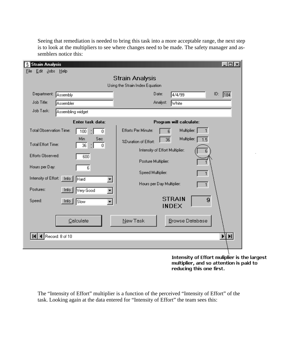Seeing that remediation is needed to bring this task into a more acceptable range, the next step is to look at the multipliers to see where changes need to be made. The safety manager and assemblers notice this:

| <b>Strain Analysis</b><br>Ŕ.                                                                                                                                                                                                                              | $  \Box \Box   \times  $                                                                                                                                                                                                         |  |  |  |  |
|-----------------------------------------------------------------------------------------------------------------------------------------------------------------------------------------------------------------------------------------------------------|----------------------------------------------------------------------------------------------------------------------------------------------------------------------------------------------------------------------------------|--|--|--|--|
| Edit Jobs Help<br>Eile                                                                                                                                                                                                                                    |                                                                                                                                                                                                                                  |  |  |  |  |
| <b>Strain Analysis</b>                                                                                                                                                                                                                                    |                                                                                                                                                                                                                                  |  |  |  |  |
|                                                                                                                                                                                                                                                           | Using the Strain Index Equation                                                                                                                                                                                                  |  |  |  |  |
| Department: Assembly                                                                                                                                                                                                                                      | Date:<br>ID: 184<br>4/4/99                                                                                                                                                                                                       |  |  |  |  |
| Job Title:<br>Assembler                                                                                                                                                                                                                                   | Analyst:<br><b>White</b>                                                                                                                                                                                                         |  |  |  |  |
| Job Task:<br>Assembling widget                                                                                                                                                                                                                            |                                                                                                                                                                                                                                  |  |  |  |  |
| Enter task data:                                                                                                                                                                                                                                          | Program will calculate:                                                                                                                                                                                                          |  |  |  |  |
| <b>Total Observation Time:</b><br>100<br>$\overline{0}$                                                                                                                                                                                                   | Efforts Per Minute:<br>Multiplier:  <br>1<br>6                                                                                                                                                                                   |  |  |  |  |
| Min<br>Sec.<br><b>Total Effort Time:</b><br>36<br>$\overline{0}$<br>÷.<br><b>Efforts Observed:</b><br>600<br>Hours per Day:<br>6<br>Intensity of Effort: Info<br>Hard<br>Postures:<br>Very Good<br>lnfo<br>Speed:<br>Slow<br>lnfo<br>$\blacktriangledown$ | Multiplier: [<br>$\overline{36}$<br>1.5<br>%Duration of Effort:<br>Intensity of Effort Multiplier:<br>6<br>Posture Multiplier:<br>Speed Multiplier:<br>1<br>Hours per Day Multiplier:<br>1<br><b>STRAIN</b><br>9<br><b>INDEX</b> |  |  |  |  |
| Calculate                                                                                                                                                                                                                                                 | New Task<br><b>Browse Database</b>                                                                                                                                                                                               |  |  |  |  |
| ▶∖∣▶∣∣<br>Record: 8 of 10                                                                                                                                                                                                                                 |                                                                                                                                                                                                                                  |  |  |  |  |
|                                                                                                                                                                                                                                                           |                                                                                                                                                                                                                                  |  |  |  |  |

Intensity of Effort muliplier is the largest multiplier, and so attention is paid to reducing this one first.

The "Intensity of Effort" multiplier is a function of the perceived "Intensity of Effort" of the task. Looking again at the data entered for "Intensity of Effort" the team sees this: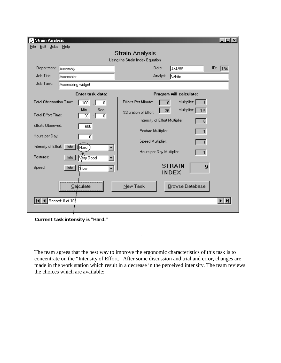| <b>Strain Analysis</b><br>Edit Jobs Help<br>File                                                                                                                                                                                                                                                                             | $L$ olx                                                                                                                                                                                                                                                                              |  |  |  |  |
|------------------------------------------------------------------------------------------------------------------------------------------------------------------------------------------------------------------------------------------------------------------------------------------------------------------------------|--------------------------------------------------------------------------------------------------------------------------------------------------------------------------------------------------------------------------------------------------------------------------------------|--|--|--|--|
| Strain Analysis<br>Using the Strain Index Equation                                                                                                                                                                                                                                                                           |                                                                                                                                                                                                                                                                                      |  |  |  |  |
| Department: Assembly<br>Job Title:<br>Assembler<br>Job Task:<br>Assembling widget                                                                                                                                                                                                                                            | Date:<br>ID:<br>4/4/99<br>184<br>Analyst:<br>White                                                                                                                                                                                                                                   |  |  |  |  |
| Enter task data:<br><b>Total Observation Time:</b><br>100<br>$\overline{0}$<br>Н<br>Min<br>Sec<br><b>Total Effort Time:</b><br>36<br>$\vert 0 \vert$<br>d.<br><b>Efforts Observed:</b><br>600<br>Hours per Day:<br>6<br>Intensity of Effort: Info<br>Hard<br>▼<br>Postures:<br>Info<br>Very Good<br>Speed:<br>Info<br>∥\$low | Program will calculate:<br><b>Efforts Per Minute:</b><br>Multiplier:<br>6<br>Multiplier:<br>36<br>1.5<br>%Duration of Effort:<br>Intensity of Effort Multiplier:<br>6<br>Posture Multiplier:<br>Speed Multiplier:<br>Hours per Day Multiplier:<br><b>STRAIN</b><br>9<br><b>INDEX</b> |  |  |  |  |
| <br>Calculate<br>Record: 8 of 10                                                                                                                                                                                                                                                                                             | New Task<br><b>Browse Database</b>                                                                                                                                                                                                                                                   |  |  |  |  |

Current task intensity is "Hard."

The team agrees that the best way to improve the ergonomic characteristics of this task is to concentrate on the "Intensity of Effort." After some discussion and trial and error, changes are made in the work station which result in a decrease in the perceived intensity. The team reviews the choices which are available:

 $\ddot{\phantom{0}}$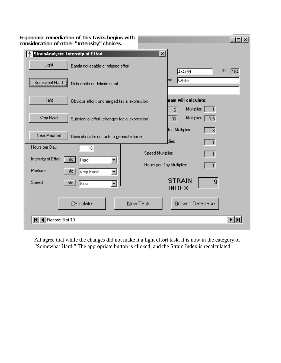| Ergonomic remediation of this tasks begins with<br>모마지<br>consideration of other "Intensity" choices.                           |              |  |  |  |  |
|---------------------------------------------------------------------------------------------------------------------------------|--------------|--|--|--|--|
| StrainAnalysis: Intensity of Effort<br>$\vert x \vert$<br>Ţ                                                                     |              |  |  |  |  |
| Light<br>Barely noticeable or relaxed effort<br>ID:<br>4/4/99                                                                   | $\sqrt{184}$ |  |  |  |  |
| lyst:<br><b>White</b><br><br>Somewhat Hard<br>Noticeable or definite effort                                                     |              |  |  |  |  |
| Hard<br><b>hram will calculate:</b><br>Obvious effort; unchanged facial expression                                              |              |  |  |  |  |
| Multiplier:<br>6<br>Very Hard<br>Multiplier:<br>36<br>Substantial effort; changes facial expression<br>1.5<br>ffort Multiplier: |              |  |  |  |  |
| 6<br>Near Maximal<br>Uses shoulder or trunk to generate force                                                                   |              |  |  |  |  |
| blier:<br>Hours per Day:<br>6                                                                                                   |              |  |  |  |  |
| Speed Multiplier:<br>Intensity of Effort:<br>Info<br>Hard                                                                       |              |  |  |  |  |
| Hours per Day Multiplier:<br>Postures:<br>Info   Very Good<br>▾                                                                 |              |  |  |  |  |
| <b>STRAIN</b><br>9<br>Speed:<br>lnfo<br>Slow<br><b>INDEX</b>                                                                    |              |  |  |  |  |
| Calculate<br>New Task<br><b>Browse Database</b>                                                                                 |              |  |  |  |  |
| Record: 8 of 10                                                                                                                 |              |  |  |  |  |

All agree that while the changes did not make it a light effort task, it is now in the category of "Somewhat Hard." The appropriate button is clicked, and the Strain Index is recalculated.